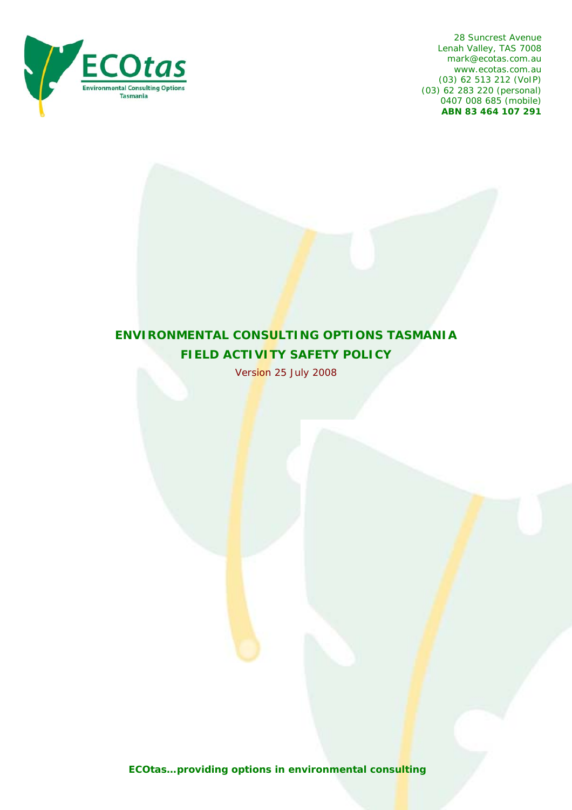

28 Suncrest Avenue Lenah Valley, TAS 7008 mark@ecotas.com.au www.ecotas.com.au (03) 62 513 212 (VoIP) (03) 62 283 220 (personal) 0407 008 685 (mobile) **ABN 83 464 107 291** 

# **ENVIRONMENTAL CONSULTING OPTIONS TASMANIA FIELD ACTIVITY SAFETY POLICY**

Version 25 July 2008

*ECOtas…providing options in environmental consulting*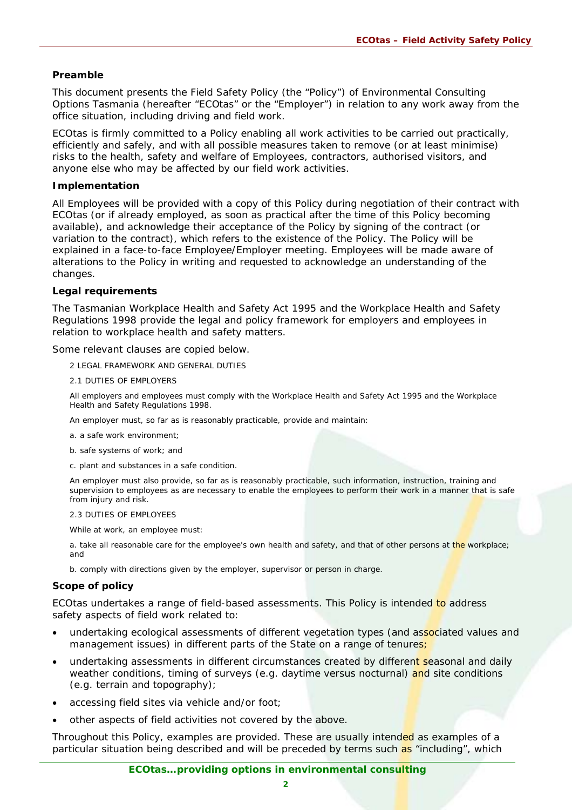## **Preamble**

This document presents the Field Safety Policy (the "Policy") of Environmental Consulting Options Tasmania (hereafter "ECO*tas*" or the "Employer") in relation to any work away from the office situation, including driving and field work.

ECO*tas* is firmly committed to a Policy enabling all work activities to be carried out practically, efficiently and safely, and with all possible measures taken to remove (or at least minimise) risks to the health, safety and welfare of Employees, contractors, authorised visitors, and anyone else who may be affected by our field work activities.

## **Implementation**

All Employees will be provided with a copy of this Policy during negotiation of their contract with ECO*tas* (or if already employed, as soon as practical after the time of this Policy becoming available), and acknowledge their acceptance of the Policy by signing of the contract (or variation to the contract), which refers to the existence of the Policy. The Policy will be explained in a face-to-face Employee/Employer meeting. Employees will be made aware of alterations to the Policy in writing and requested to acknowledge an understanding of the changes.

## **Legal requirements**

The Tasmanian *Workplace Health and Safety Act 1995* and the *Workplace Health and Safety Regulations 1998* provide the legal and policy framework for employers and employees in relation to workplace health and safety matters.

Some relevant clauses are copied below.

- 2 LEGAL FRAMEWORK AND GENERAL DUTIES
- 2.1 DUTIES OF EMPLOYERS

All employers and employees must comply with the *Workplace Health and Safety Act 1995* and the *Workplace Health and Safety Regulations 1998*.

An employer must, so far as is reasonably practicable, provide and maintain:

- a. a safe work environment;
- b. safe systems of work; and
- c. plant and substances in a safe condition.

An employer must also provide, so far as is reasonably practicable, such information, instruction, training and supervision to employees as are necessary to enable the employees to perform their work in a manner that is safe from injury and risk.

#### 2.3 DUTIES OF EMPLOYEES

While at work, an employee must:

a. take all reasonable care for the employee's own health and safety, and that of other persons at the workplace; and

b. comply with directions given by the employer, supervisor or person in charge.

## **Scope of policy**

ECO*tas* undertakes a range of field-based assessments. This Policy is intended to address safety aspects of field work related to:

- undertaking ecological assessments of different vegetation types (and associated values and management issues) in different parts of the State on a range of tenures;
- undertaking assessments in different circumstances created by different seasonal and daily weather conditions, timing of surveys (e.g. daytime versus nocturnal) and site conditions (e.g. terrain and topography);
- accessing field sites via vehicle and/or foot;
- other aspects of field activities not covered by the above.

Throughout this Policy, examples are provided. These are usually intended as examples of a particular situation being described and will be preceded by terms such as "including", which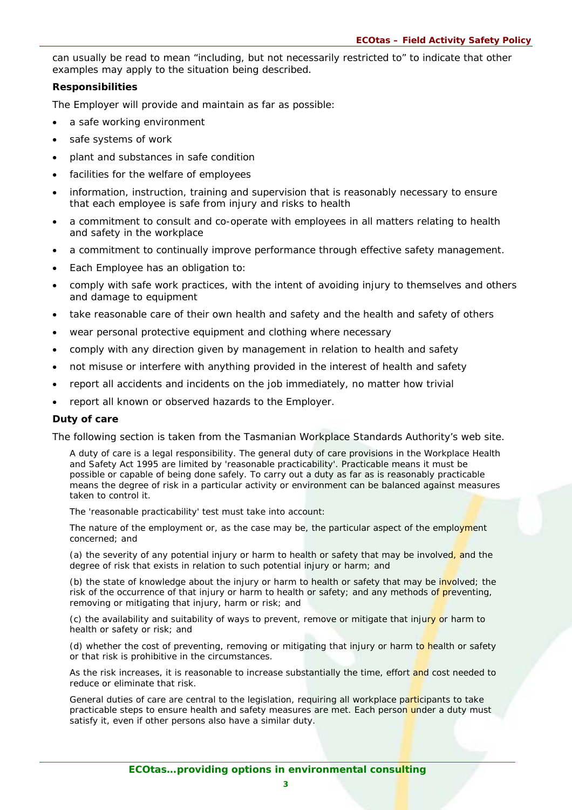can usually be read to mean "including, but not necessarily restricted to" to indicate that other examples may apply to the situation being described.

## **Responsibilities**

The Employer will provide and maintain as far as possible:

- a safe working environment
- safe systems of work
- plant and substances in safe condition
- facilities for the welfare of employees
- information, instruction, training and supervision that is reasonably necessary to ensure that each employee is safe from injury and risks to health
- a commitment to consult and co-operate with employees in all matters relating to health and safety in the workplace
- a commitment to continually improve performance through effective safety management.
- Each Employee has an obligation to:
- comply with safe work practices, with the intent of avoiding injury to themselves and others and damage to equipment
- take reasonable care of their own health and safety and the health and safety of others
- wear personal protective equipment and clothing where necessary
- comply with any direction given by management in relation to health and safety
- not misuse or interfere with anything provided in the interest of health and safety
- report all accidents and incidents on the job immediately, no matter how trivial
- report all known or observed hazards to the Employer.

## **Duty of care**

The following section is taken from the Tasmanian Workplace Standards Authority's web site.

A duty of care is a legal responsibility. The general duty of care provisions in the *[Workplace Health](http://www.wst.tas.gov.au/external_links/acts/workplace_health_and_safety_act_1995)  [and Safety Act 1995](http://www.wst.tas.gov.au/external_links/acts/workplace_health_and_safety_act_1995)* are limited by 'reasonable practicability'. Practicable means it must be possible or capable of being done safely. To carry out a duty as far as is reasonably practicable means the degree of risk in a particular activity or environment can be balanced against measures taken to control it.

The 'reasonable practicability' test must take into account:

The nature of the employment or, as the case may be, the particular aspect of the employment concerned; and

(a) the severity of any potential injury or harm to health or safety that may be involved, and the degree of risk that exists in relation to such potential injury or harm; and

(b) the state of knowledge about the injury or harm to health or safety that may be involved; the risk of the occurrence of that injury or harm to health or safety; and any methods of preventing, removing or mitigating that injury, harm or risk; and

(c) the availability and suitability of ways to prevent, remove or mitigate that injury or harm to health or safety or risk; and

(d) whether the cost of preventing, removing or mitigating that injury or harm to health or safety or that risk is prohibitive in the circumstances.

As the risk increases, it is reasonable to increase substantially the time, effort and cost needed to reduce or eliminate that risk.

General duties of care are central to the legislation, requiring all workplace participants to take practicable steps to ensure health and safety measures are met. Each person under a duty must satisfy it, even if other persons also have a similar duty.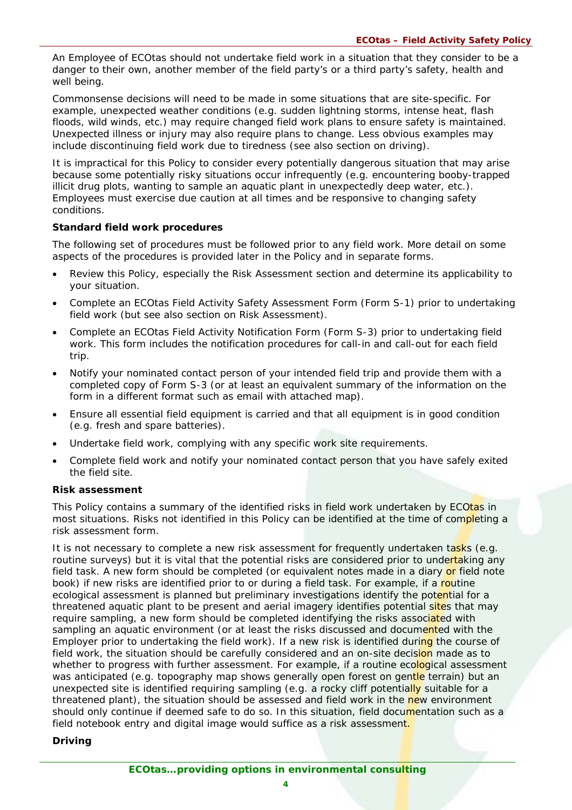An Employee of ECO*tas* should not undertake field work in a situation that they consider to be a danger to their own, another member of the field party's or a third party's safety, health and well being.

Commonsense decisions will need to be made in some situations that are site-specific. For example, unexpected weather conditions (e.g. sudden lightning storms, intense heat, flash floods, wild winds, etc.) may require changed field work plans to ensure safety is maintained. Unexpected illness or injury may also require plans to change. Less obvious examples may include discontinuing field work due to tiredness (see also section on driving).

It is impractical for this Policy to consider every potentially dangerous situation that may arise because some potentially risky situations occur infrequently (e.g. encountering booby-trapped illicit drug plots, wanting to sample an aquatic plant in unexpectedly deep water, etc.). Employees must exercise due caution at all times and be responsive to changing safety conditions.

## **Standard field work procedures**

The following set of procedures must be followed prior to any field work. More detail on some aspects of the procedures is provided later in the Policy and in separate forms.

- Review this Policy, especially the Risk Assessment section and determine its applicability to your situation.
- Complete an ECOtas Field Activity Safety Assessment Form (Form S-1) prior to undertaking field work (but see also section on Risk Assessment).
- Complete an ECOtas Field Activity Notification Form (Form S-3) prior to undertaking field work. This form includes the notification procedures for call-in and call-out for each field trip.
- Notify your nominated contact person of your intended field trip and provide them with a completed copy of Form S-3 (or at least an equivalent summary of the information on the form in a different format such as email with attached map).
- Ensure all essential field equipment is carried and that all equipment is in good condition (e.g. fresh and spare batteries).
- Undertake field work, complying with any specific work site requirements.
- Complete field work and notify your nominated contact person that you have safely exited the field site.

## **Risk assessment**

This Policy contains a summary of the identified risks in field work undertaken by ECO*tas* in most situations. Risks not identified in this Policy can be identified at the time of completing a risk assessment form.

It is not necessary to complete a new risk assessment for frequently undertaken tasks (e.g. routine surveys) but it is vital that the potential risks are considered prior to undertaking any field task. A new form should be completed (or equivalent notes made in a diary or field note book) if new risks are identified prior to or during a field task. For example, if a routine ecological assessment is planned but preliminary investigations identify the potential for a threatened aquatic plant to be present and aerial imagery identifies potential sites that may require sampling, a new form should be completed identifying the risks associated with sampling an aquatic environment (or at least the risks discussed and documented with the Employer prior to undertaking the field work). If a new risk is identified during the course of field work, the situation should be carefully considered and an on-site decision made as to whether to progress with further assessment. For example, if a routine ecological assessment was anticipated (e.g. topography map shows generally open forest on gentle terrain) but an unexpected site is identified requiring sampling (e.g. a rocky cliff potentially suitable for a threatened plant), the situation should be assessed and field work in the new environment should only continue if deemed safe to do so. In this situation, field documentation such as a field notebook entry and digital image would suffice as a risk assessment.

## **Driving**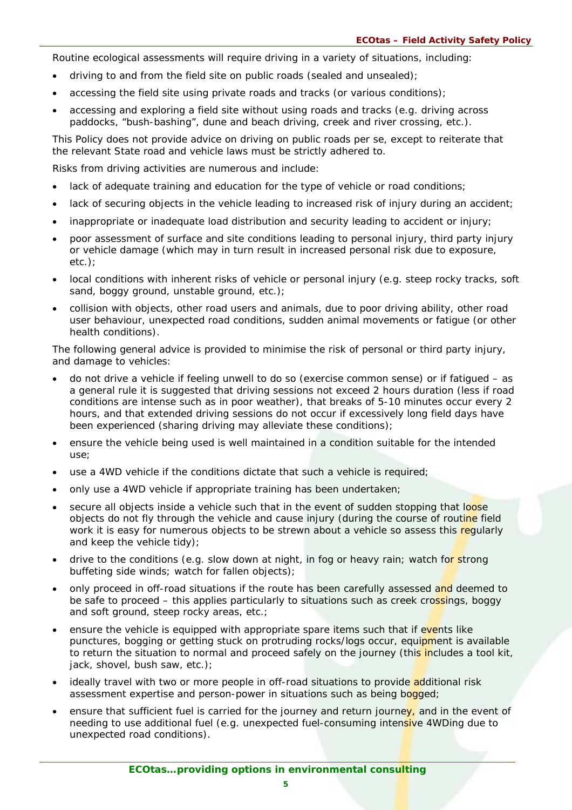Routine ecological assessments will require driving in a variety of situations, including:

- driving to and from the field site on public roads (sealed and unsealed);
- accessing the field site using private roads and tracks (or various conditions);
- accessing and exploring a field site without using roads and tracks (e.g. driving across paddocks, "bush-bashing", dune and beach driving, creek and river crossing, etc.).

This Policy does not provide advice on driving on public roads per se, except to reiterate that the relevant State road and vehicle laws must be strictly adhered to.

Risks from driving activities are numerous and include:

- lack of adequate training and education for the type of vehicle or road conditions;
- lack of securing objects in the vehicle leading to increased risk of injury during an accident;
- inappropriate or inadequate load distribution and security leading to accident or injury;
- poor assessment of surface and site conditions leading to personal injury, third party injury or vehicle damage (which may in turn result in increased personal risk due to exposure, etc.);
- local conditions with inherent risks of vehicle or personal injury (e.g. steep rocky tracks, soft sand, boggy ground, unstable ground, etc.);
- collision with objects, other road users and animals, due to poor driving ability, other road user behaviour, unexpected road conditions, sudden animal movements or fatigue (or other health conditions).

The following general advice is provided to minimise the risk of personal or third party injury, and damage to vehicles:

- do not drive a vehicle if feeling unwell to do so (exercise common sense) or if fatigued as a general rule it is suggested that driving sessions not exceed 2 hours duration (less if road conditions are intense such as in poor weather), that breaks of 5-10 minutes occur every 2 hours, and that extended driving sessions do not occur if excessively long field days have been experienced (sharing driving may alleviate these conditions);
- ensure the vehicle being used is well maintained in a condition suitable for the intended use;
- use a 4WD vehicle if the conditions dictate that such a vehicle is required;
- only use a 4WD vehicle if appropriate training has been undertaken;
- secure all objects inside a vehicle such that in the event of sudden stopping that loose objects do not fly through the vehicle and cause injury (during the course of routine field work it is easy for numerous objects to be strewn about a vehicle so assess this regularly and keep the vehicle tidy);
- drive to the conditions (e.g. slow down at night, in fog or heavy rain; watch for strong buffeting side winds; watch for fallen objects);
- only proceed in off-road situations if the route has been carefully assessed and deemed to be safe to proceed – this applies particularly to situations such as creek crossings, boggy and soft ground, steep rocky areas, etc.;
- ensure the vehicle is equipped with appropriate spare items such that if events like punctures, bogging or getting stuck on protruding rocks/logs occur, equipment is available to return the situation to normal and proceed safely on the journey (this includes a tool kit, jack, shovel, bush saw, etc.);
- ideally travel with two or more people in off-road situations to provide additional risk assessment expertise and person-power in situations such as being bogged;
- ensure that sufficient fuel is carried for the journey and return journey, and in the event of needing to use additional fuel (e.g. unexpected fuel-consuming intensive 4WDing due to unexpected road conditions).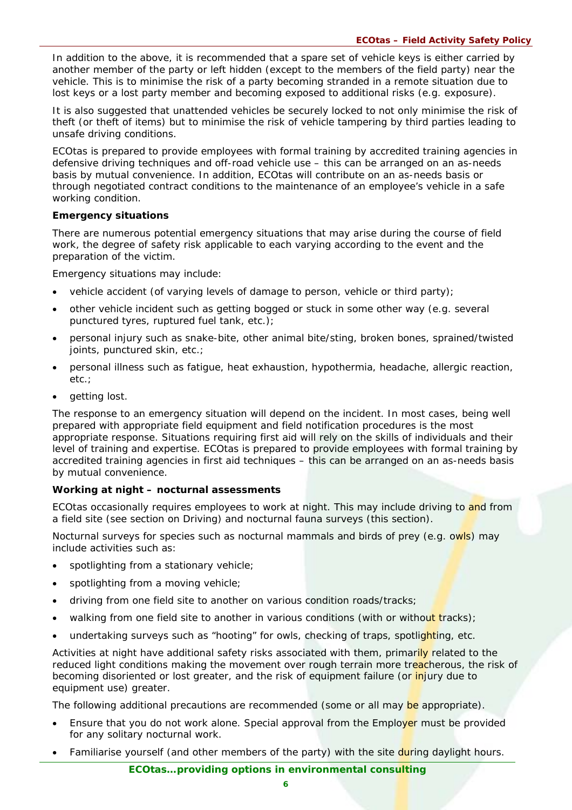In addition to the above, it is recommended that a spare set of vehicle keys is either carried by another member of the party or left hidden (except to the members of the field party) near the vehicle. This is to minimise the risk of a party becoming stranded in a remote situation due to lost keys or a lost party member and becoming exposed to additional risks (e.g. exposure).

It is also suggested that unattended vehicles be securely locked to not only minimise the risk of theft (or theft of items) but to minimise the risk of vehicle tampering by third parties leading to unsafe driving conditions.

ECO*tas* is prepared to provide employees with formal training by accredited training agencies in defensive driving techniques and off-road vehicle use – this can be arranged on an as-needs basis by mutual convenience. In addition, ECO*tas* will contribute on an as-needs basis or through negotiated contract conditions to the maintenance of an employee's vehicle in a safe working condition.

## **Emergency situations**

There are numerous potential emergency situations that may arise during the course of field work, the degree of safety risk applicable to each varying according to the event and the preparation of the victim.

Emergency situations may include:

- vehicle accident (of varying levels of damage to person, vehicle or third party);
- other vehicle incident such as getting bogged or stuck in some other way (e.g. several punctured tyres, ruptured fuel tank, etc.);
- personal injury such as snake-bite, other animal bite/sting, broken bones, sprained/twisted joints, punctured skin, etc.;
- personal illness such as fatigue, heat exhaustion, hypothermia, headache, allergic reaction, etc.;
- getting lost.

The response to an emergency situation will depend on the incident. In most cases, being well prepared with appropriate field equipment and field notification procedures is the most appropriate response. Situations requiring first aid will rely on the skills of individuals and their level of training and expertise. ECO*tas* is prepared to provide employees with formal training by accredited training agencies in first aid techniques – this can be arranged on an as-needs basis by mutual convenience.

## **Working at night – nocturnal assessments**

ECO*tas* occasionally requires employees to work at night. This may include driving to and from a field site (see section on Driving) and nocturnal fauna surveys (this section).

Nocturnal surveys for species such as nocturnal mammals and birds of prey (e.g. owls) may include activities such as:

- spotlighting from a stationary vehicle;
- spotlighting from a moving vehicle;
- driving from one field site to another on various condition roads/tracks;
- walking from one field site to another in various conditions (with or without tracks);
- undertaking surveys such as "hooting" for owls, checking of traps, spotlighting, etc.

Activities at night have additional safety risks associated with them, primarily related to the reduced light conditions making the movement over rough terrain more treacherous, the risk of becoming disoriented or lost greater, and the risk of equipment failure (or *injury* due to equipment use) greater.

The following additional precautions are recommended (some or all may be appropriate).

- Ensure that you do not work alone. Special approval from the Employer must be provided for any solitary nocturnal work.
- Familiarise yourself (and other members of the party) with the site during daylight hours.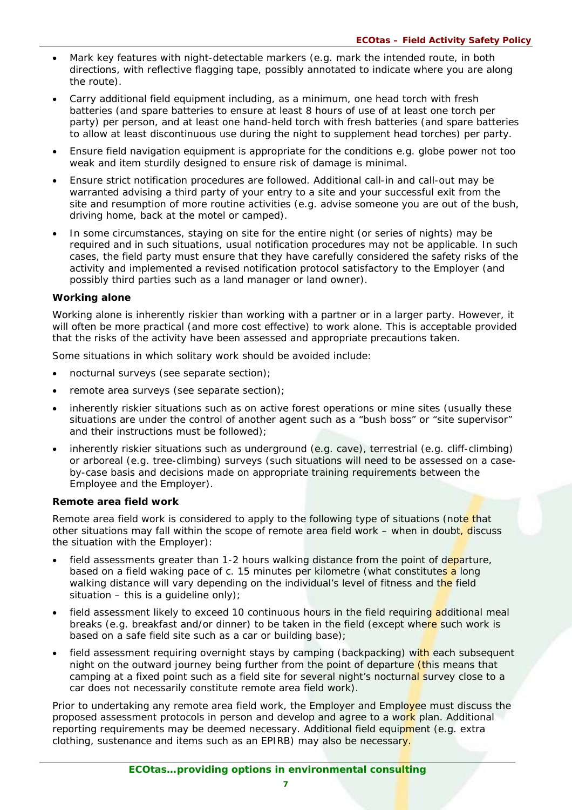- Mark key features with night-detectable markers (e.g. mark the intended route, in both directions, with reflective flagging tape, possibly annotated to indicate where you are along the route).
- Carry additional field equipment including, as a minimum, one head torch with fresh batteries (and spare batteries to ensure at least 8 hours of use of at least one torch per party) per person, and at least one hand-held torch with fresh batteries (and spare batteries to allow at least discontinuous use during the night to supplement head torches) per party.
- Ensure field navigation equipment is appropriate for the conditions e.g. globe power not too weak and item sturdily designed to ensure risk of damage is minimal.
- Ensure strict notification procedures are followed. Additional call-in and call-out may be warranted advising a third party of your entry to a site and your successful exit from the site and resumption of more routine activities (e.g. advise someone you are out of the bush, driving home, back at the motel or camped).
- In some circumstances, staying on site for the entire night (or series of nights) may be required and in such situations, usual notification procedures may not be applicable. In such cases, the field party must ensure that they have carefully considered the safety risks of the activity and implemented a revised notification protocol satisfactory to the Employer (and possibly third parties such as a land manager or land owner).

## **Working alone**

Working alone is inherently riskier than working with a partner or in a larger party. However, it will often be more practical (and more cost effective) to work alone. This is acceptable provided that the risks of the activity have been assessed and appropriate precautions taken.

Some situations in which solitary work should be avoided include:

- nocturnal surveys (see separate section);
- remote area surveys (see separate section);
- inherently riskier situations such as on active forest operations or mine sites (usually these situations are under the control of another agent such as a "bush boss" or "site supervisor" and their instructions must be followed);
- inherently riskier situations such as underground (e.g. cave), terrestrial (e.g. cliff-climbing) or arboreal (e.g. tree-climbing) surveys (such situations will need to be assessed on a caseby-case basis and decisions made on appropriate training requirements between the Employee and the Employer).

## **Remote area field work**

Remote area field work is considered to apply to the following type of situations (note that other situations may fall within the scope of remote area field work – when in doubt, discuss the situation with the Employer):

- field assessments greater than 1-2 hours walking distance from the point of departure, based on a field waking pace of c. 15 minutes per kilometre (what constitutes a long walking distance will vary depending on the individual's level of fitness and the field situation – this is a quideline only);
- field assessment likely to exceed 10 continuous hours in the field requiring additional meal breaks (e.g. breakfast and/or dinner) to be taken in the field (except where such work is based on a safe field site such as a car or building base);
- field assessment requiring overnight stays by camping (backpacking) with each subsequent night on the outward journey being further from the point of departure *(this means that*) camping at a fixed point such as a field site for several night's nocturnal survey close to a car does not necessarily constitute remote area field work).

Prior to undertaking any remote area field work, the Employer and Employee must discuss the proposed assessment protocols in person and develop and agree to a work plan. Additional reporting requirements may be deemed necessary. Additional field equipment (e.g. extra clothing, sustenance and items such as an EPIRB) may also be necessary.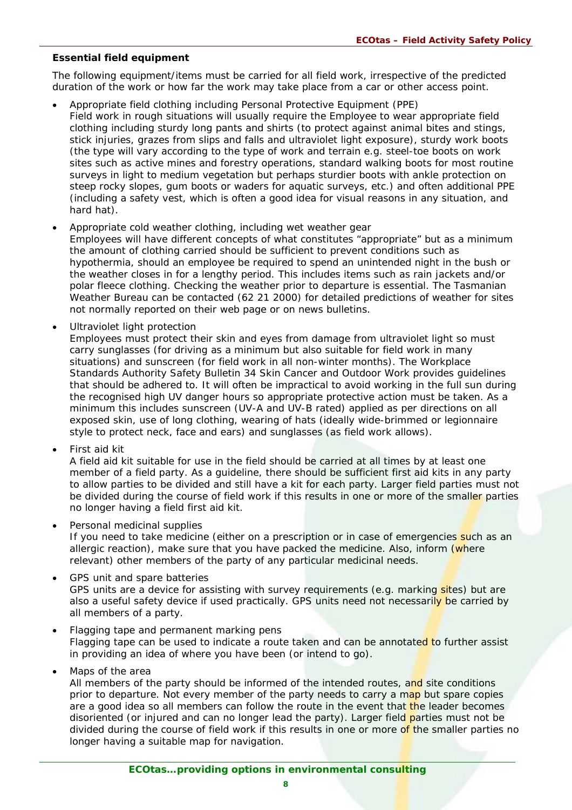## **Essential field equipment**

The following equipment/items must be carried for all field work, irrespective of the predicted duration of the work or how far the work may take place from a car or other access point.

- Appropriate field clothing including Personal Protective Equipment (PPE) Field work in rough situations will usually require the Employee to wear appropriate field clothing including sturdy long pants and shirts (to protect against animal bites and stings, stick injuries, grazes from slips and falls and ultraviolet light exposure), sturdy work boots (the type will vary according to the type of work and terrain e.g. steel-toe boots on work sites such as active mines and forestry operations, standard walking boots for most routine surveys in light to medium vegetation but perhaps sturdier boots with ankle protection on steep rocky slopes, gum boots or waders for aquatic surveys, etc.) and often additional PPE (including a safety vest, which is often a good idea for visual reasons in any situation, and hard hat).
- Appropriate cold weather clothing, including wet weather gear Employees will have different concepts of what constitutes "appropriate" but as a minimum the amount of clothing carried should be sufficient to prevent conditions such as hypothermia, should an employee be required to spend an unintended night in the bush or the weather closes in for a lengthy period. This includes items such as rain jackets and/or polar fleece clothing. Checking the weather prior to departure is essential. The Tasmanian Weather Bureau can be contacted (62 21 2000) for detailed predictions of weather for sites not normally reported on their web page or on news bulletins.
- Ultraviolet light protection

Employees must protect their skin and eyes from damage from ultraviolet light so must carry sunglasses (for driving as a minimum but also suitable for field work in many situations) and sunscreen (for field work in all non-winter months). The Workplace Standards Authority Safety Bulletin 34 Skin Cancer and Outdoor Work provides guidelines that should be adhered to. It will often be impractical to avoid working in the full sun during the recognised high UV danger hours so appropriate protective action must be taken. As a minimum this includes sunscreen (UV-A and UV-B rated) applied as per directions on all exposed skin, use of long clothing, wearing of hats (ideally wide-brimmed or legionnaire style to protect neck, face and ears) and sunglasses (as field work allows).

• First aid kit

A field aid kit suitable for use in the field should be carried at all times by at least one member of a field party. As a guideline, there should be sufficient first aid kits in any party to allow parties to be divided and still have a kit for each party. Larger field parties must not be divided during the course of field work if this results in one or more of the smaller parties no longer having a field first aid kit.

• Personal medicinal supplies

If you need to take medicine (either on a prescription or in case of emergencies such as an allergic reaction), make sure that you have packed the medicine. Also, inform (where relevant) other members of the party of any particular medicinal needs.

- GPS unit and spare batteries GPS units are a device for assisting with survey requirements (e.g. marking sites) but are also a useful safety device if used practically. GPS units need not necessarily be carried by all members of a party.
- Flagging tape and permanent marking pens Flagging tape can be used to indicate a route taken and can be annotated to further assist in providing an idea of where you have been (or intend to go).
- Maps of the area

All members of the party should be informed of the intended routes, and site conditions prior to departure. Not every member of the party needs to carry a map but spare copies are a good idea so all members can follow the route in the event that the leader becomes disoriented (or injured and can no longer lead the party). Larger field parties must not be divided during the course of field work if this results in one or more of the smaller parties no longer having a suitable map for navigation.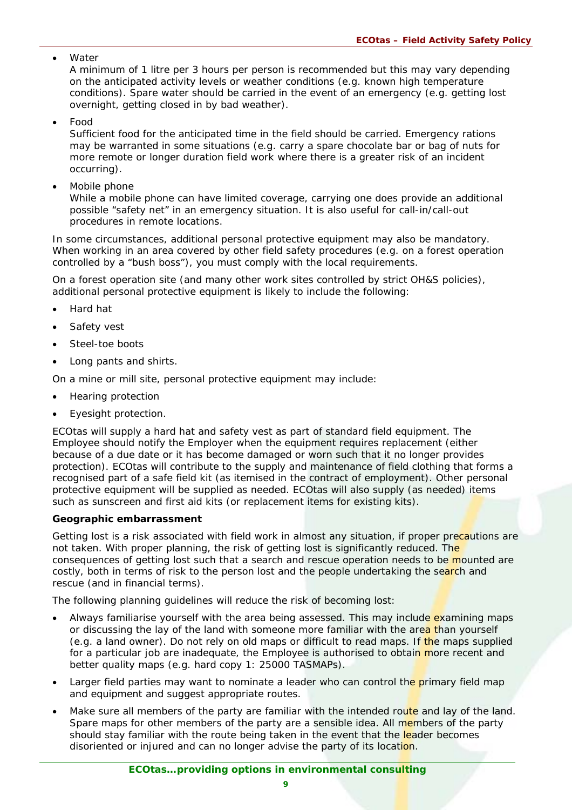**Water** 

A minimum of 1 litre per 3 hours per person is recommended but this may vary depending on the anticipated activity levels or weather conditions (e.g. known high temperature conditions). Spare water should be carried in the event of an emergency (e.g. getting lost overnight, getting closed in by bad weather).

• Food

Sufficient food for the anticipated time in the field should be carried. Emergency rations may be warranted in some situations (e.g. carry a spare chocolate bar or bag of nuts for more remote or longer duration field work where there is a greater risk of an incident occurring).

• Mobile phone

While a mobile phone can have limited coverage, carrying one does provide an additional possible "safety net" in an emergency situation. It is also useful for call-in/call-out procedures in remote locations.

In some circumstances, additional personal protective equipment may also be mandatory. When working in an area covered by other field safety procedures (e.g. on a forest operation controlled by a "bush boss"), you must comply with the local requirements.

On a forest operation site (and many other work sites controlled by strict OH&S policies), additional personal protective equipment is likely to include the following:

- Hard hat
- Safety vest
- Steel-toe boots
- Long pants and shirts.

On a mine or mill site, personal protective equipment may include:

- Hearing protection
- Eyesight protection.

ECO*tas* will supply a hard hat and safety vest as part of standard field equipment. The Employee should notify the Employer when the equipment requires replacement (either because of a due date or it has become damaged or worn such that it no longer provides protection). ECO*tas* will contribute to the supply and maintenance of field clothing that forms a recognised part of a safe field kit (as itemised in the contract of employment). Other personal protective equipment will be supplied as needed. ECO*tas* will also supply (as needed) items such as sunscreen and first aid kits (or replacement items for existing kits).

## **Geographic embarrassment**

Getting lost is a risk associated with field work in almost any situation, if proper precautions are not taken. With proper planning, the risk of getting lost is significantly reduced. The consequences of getting lost such that a search and rescue operation needs to be mounted are costly, both in terms of risk to the person lost and the people undertaking the search and rescue (and in financial terms).

The following planning guidelines will reduce the risk of becoming lost:

- Always familiarise yourself with the area being assessed. This may include examining maps or discussing the lay of the land with someone more familiar with the area than yourself (e.g. a land owner). Do not rely on old maps or difficult to read maps. If the maps supplied for a particular job are inadequate, the Employee is authorised to obtain more recent and better quality maps (e.g. hard copy 1: 25000 TASMAPs).
- Larger field parties may want to nominate a leader who can control the primary field map and equipment and suggest appropriate routes.
- Make sure all members of the party are familiar with the intended route and lay of the land. Spare maps for other members of the party are a sensible idea. All members of the party should stay familiar with the route being taken in the event that the leader becomes disoriented or injured and can no longer advise the party of its location.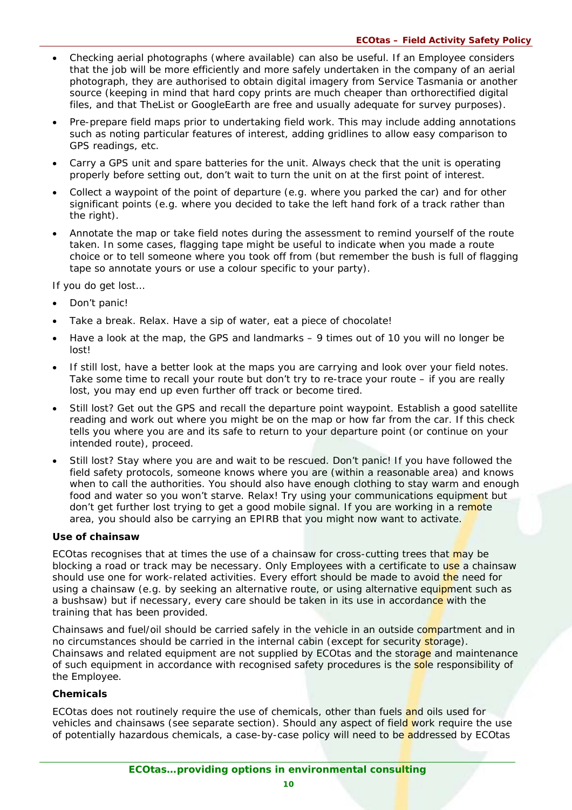- Checking aerial photographs (where available) can also be useful. If an Employee considers that the job will be more efficiently and more safely undertaken in the company of an aerial photograph, they are authorised to obtain digital imagery from Service Tasmania or another source (keeping in mind that hard copy prints are much cheaper than orthorectified digital files, and that TheList or GoogleEarth are free and usually adequate for survey purposes).
- Pre-prepare field maps prior to undertaking field work. This may include adding annotations such as noting particular features of interest, adding gridlines to allow easy comparison to GPS readings, etc.
- Carry a GPS unit and spare batteries for the unit. Always check that the unit is operating properly before setting out, don't wait to turn the unit on at the first point of interest.
- Collect a waypoint of the point of departure (e.g. where you parked the car) and for other significant points (e.g. where you decided to take the left hand fork of a track rather than the right).
- Annotate the map or take field notes during the assessment to remind yourself of the route taken. In some cases, flagging tape might be useful to indicate when you made a route choice or to tell someone where you took off from (but remember the bush is full of flagging tape so annotate yours or use a colour specific to your party).

If you do get lost…

- Don't panic!
- Take a break. Relax. Have a sip of water, eat a piece of chocolate!
- Have a look at the map, the GPS and landmarks 9 times out of 10 you will no longer be lost!
- If still lost, have a better look at the maps you are carrying and look over your field notes. Take some time to recall your route but don't try to re-trace your route – if you are really lost, you may end up even further off track or become tired.
- Still lost? Get out the GPS and recall the departure point waypoint. Establish a good satellite reading and work out where you might be on the map or how far from the car. If this check tells you where you are and its safe to return to your departure point (or continue on your intended route), proceed.
- Still lost? Stay where you are and wait to be rescued. Don't panic! If you have followed the field safety protocols, someone knows where you are (within a reasonable area) and knows when to call the authorities. You should also have enough clothing to stay warm and enough food and water so you won't starve. Relax! Try using your communications equipment but don't get further lost trying to get a good mobile signal. If you are working in a remote area, you should also be carrying an EPIRB that you might now want to activate.

## **Use of chainsaw**

ECO*tas* recognises that at times the use of a chainsaw for cross-cutting trees that may be blocking a road or track may be necessary. Only Employees with a certificate to use a chainsaw should use one for work-related activities. Every effort should be made to avoid the need for using a chainsaw (e.g. by seeking an alternative route, or using alternative equipment such as a bushsaw) but if necessary, every care should be taken in its use in accordance with the training that has been provided.

Chainsaws and fuel/oil should be carried safely in the vehicle in an outside compartment and in no circumstances should be carried in the internal cabin (except for security storage). Chainsaws and related equipment are not supplied by ECO*tas* and the storage and maintenance of such equipment in accordance with recognised safety procedures is the sole responsibility of the Employee.

## **Chemicals**

ECO*tas* does not routinely require the use of chemicals, other than fuels and oils used for vehicles and chainsaws (see separate section). Should any aspect of field work require the use of potentially hazardous chemicals, a case-by-case policy will need to be addressed by ECO*tas*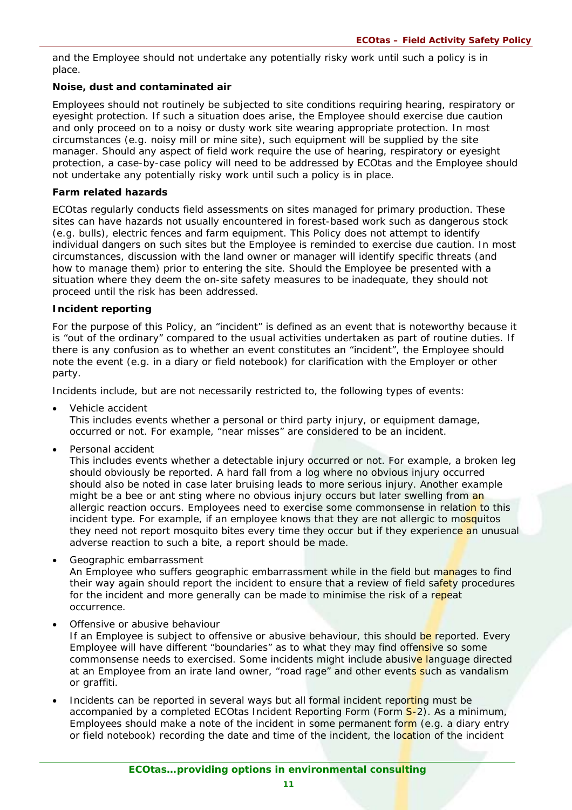and the Employee should not undertake any potentially risky work until such a policy is in place.

## **Noise, dust and contaminated air**

Employees should not routinely be subjected to site conditions requiring hearing, respiratory or eyesight protection. If such a situation does arise, the Employee should exercise due caution and only proceed on to a noisy or dusty work site wearing appropriate protection. In most circumstances (e.g. noisy mill or mine site), such equipment will be supplied by the site manager. Should any aspect of field work require the use of hearing, respiratory or eyesight protection, a case-by-case policy will need to be addressed by ECO*tas* and the Employee should not undertake any potentially risky work until such a policy is in place.

## **Farm related hazards**

ECO*tas* regularly conducts field assessments on sites managed for primary production. These sites can have hazards not usually encountered in forest-based work such as dangerous stock (e.g. bulls), electric fences and farm equipment. This Policy does not attempt to identify individual dangers on such sites but the Employee is reminded to exercise due caution. In most circumstances, discussion with the land owner or manager will identify specific threats (and how to manage them) prior to entering the site. Should the Employee be presented with a situation where they deem the on-site safety measures to be inadequate, they should not proceed until the risk has been addressed.

## **Incident reporting**

For the purpose of this Policy, an "incident" is defined as an event that is noteworthy because it is "out of the ordinary" compared to the usual activities undertaken as part of routine duties. If there is any confusion as to whether an event constitutes an "incident", the Employee should note the event (e.g. in a diary or field notebook) for clarification with the Employer or other party.

Incidents include, but are not necessarily restricted to, the following types of events:

• Vehicle accident

This includes events whether a personal or third party injury, or equipment damage, occurred or not. For example, "near misses" are considered to be an incident.

• Personal accident

This includes events whether a detectable injury occurred or not. For example, a broken leg should obviously be reported. A hard fall from a log where no obvious injury occurred should also be noted in case later bruising leads to more serious injury. Another example might be a bee or ant sting where no obvious injury occurs but later swelling from an allergic reaction occurs. Employees need to exercise some commonsense in relation to this incident type. For example, if an employee knows that they are not allergic to mosquitos they need not report mosquito bites every time they occur but if they experience an unusual adverse reaction to such a bite, a report should be made.

Geographic embarrassment

An Employee who suffers geographic embarrassment while in the field but manages to find their way again should report the incident to ensure that a review of field safety procedures for the incident and more generally can be made to minimise the risk of a repeat occurrence.

• Offensive or abusive behaviour

If an Employee is subject to offensive or abusive behaviour, this should be reported. Every Employee will have different "boundaries" as to what they may find offensive so some commonsense needs to exercised. Some incidents might include abusive language directed at an Employee from an irate land owner, "road rage" and other events such as vandalism or graffiti.

Incidents can be reported in several ways but all formal incident reporting must be accompanied by a completed ECOtas Incident Reporting Form (Form S-2). As a minimum, Employees should make a note of the incident in some permanent form (e.g. a diary entry or field notebook) recording the date and time of the incident, the location of the incident